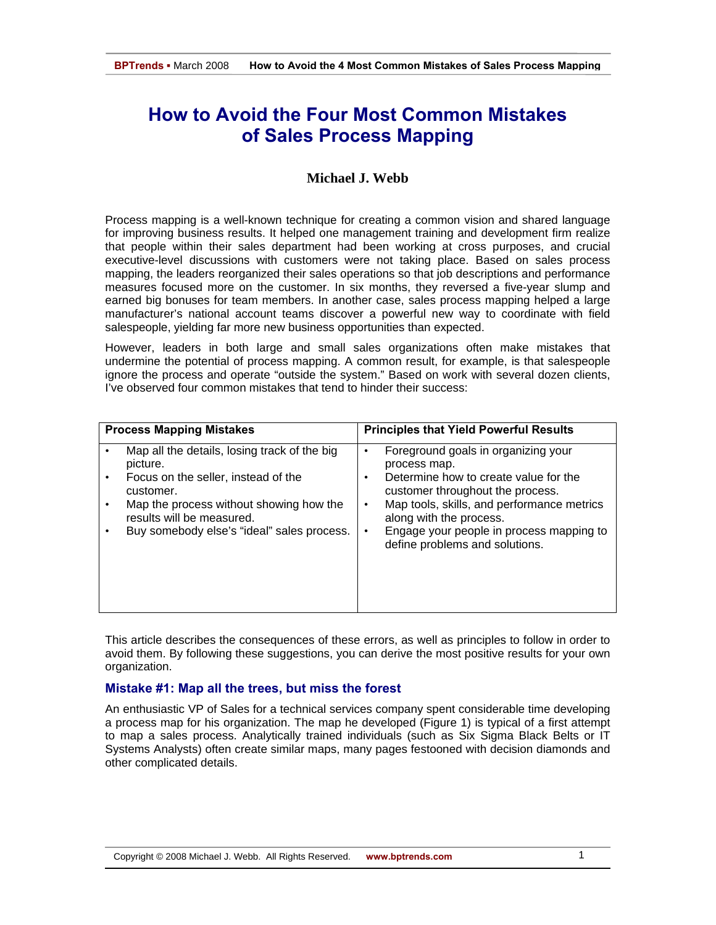# **How to Avoid the Four Most Common Mistakes of Sales Process Mapping**

# **Michael J. Webb**

Process mapping is a well-known technique for creating a common vision and shared language for improving business results. It helped one management training and development firm realize that people within their sales department had been working at cross purposes, and crucial executive-level discussions with customers were not taking place. Based on sales process mapping, the leaders reorganized their sales operations so that job descriptions and performance measures focused more on the customer. In six months, they reversed a five-year slump and earned big bonuses for team members. In another case, sales process mapping helped a large manufacturer's national account teams discover a powerful new way to coordinate with field salespeople, yielding far more new business opportunities than expected.

However, leaders in both large and small sales organizations often make mistakes that undermine the potential of process mapping. A common result, for example, is that salespeople ignore the process and operate "outside the system." Based on work with several dozen clients, I've observed four common mistakes that tend to hinder their success:

|  | <b>Process Mapping Mistakes</b>                                                                                                                                                                                                    | <b>Principles that Yield Powerful Results</b>                                                                                                                                                                                                                                                     |  |
|--|------------------------------------------------------------------------------------------------------------------------------------------------------------------------------------------------------------------------------------|---------------------------------------------------------------------------------------------------------------------------------------------------------------------------------------------------------------------------------------------------------------------------------------------------|--|
|  |                                                                                                                                                                                                                                    |                                                                                                                                                                                                                                                                                                   |  |
|  | Map all the details, losing track of the big<br>picture.<br>Focus on the seller, instead of the<br>customer.<br>Map the process without showing how the<br>results will be measured.<br>Buy somebody else's "ideal" sales process. | Foreground goals in organizing your<br>٠<br>process map.<br>Determine how to create value for the<br>customer throughout the process.<br>Map tools, skills, and performance metrics<br>٠<br>along with the process.<br>Engage your people in process mapping to<br>define problems and solutions. |  |
|  |                                                                                                                                                                                                                                    |                                                                                                                                                                                                                                                                                                   |  |

This article describes the consequences of these errors, as well as principles to follow in order to avoid them. By following these suggestions, you can derive the most positive results for your own organization.

#### **Mistake #1: Map all the trees, but miss the forest**

An enthusiastic VP of Sales for a technical services company spent considerable time developing a process map for his organization. The map he developed (Figure 1) is typical of a first attempt to map a sales process. Analytically trained individuals (such as Six Sigma Black Belts or IT Systems Analysts) often create similar maps, many pages festooned with decision diamonds and other complicated details.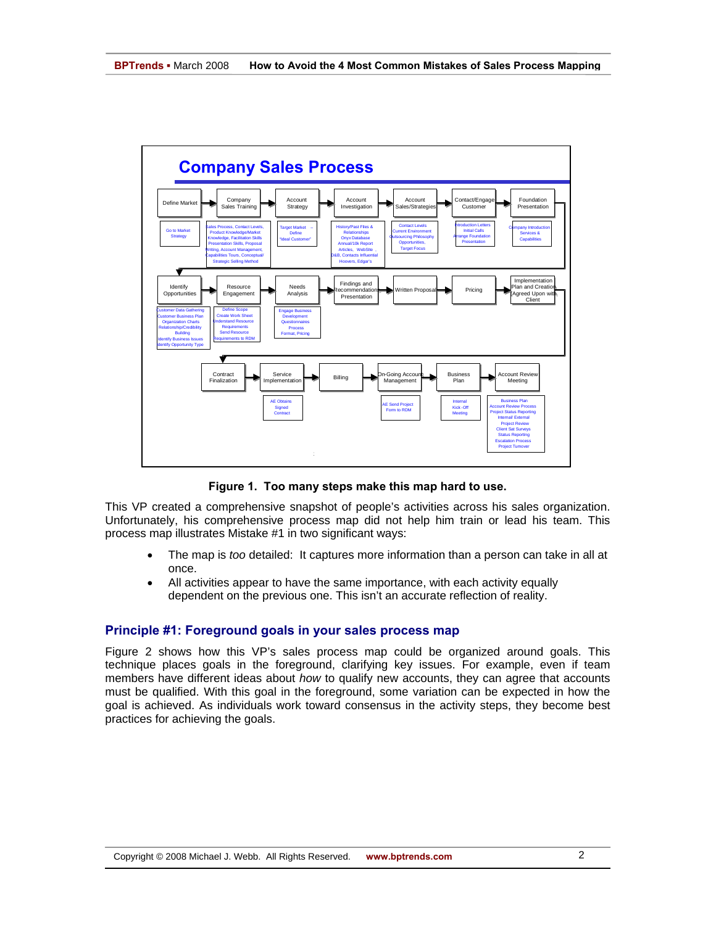

**Figure 1. Too many steps make this map hard to use.** 

This VP created a comprehensive snapshot of people's activities across his sales organization. Unfortunately, his comprehensive process map did not help him train or lead his team. This process map illustrates Mistake #1 in two significant ways:

- The map is *too* detailed: It captures more information than a person can take in all at once.
- All activities appear to have the same importance, with each activity equally dependent on the previous one. This isn't an accurate reflection of reality.

#### **Principle #1: Foreground goals in your sales process map**

Figure 2 shows how this VP's sales process map could be organized around goals. This technique places goals in the foreground, clarifying key issues. For example, even if team members have different ideas about *how* to qualify new accounts, they can agree that accounts must be qualified. With this goal in the foreground, some variation can be expected in how the goal is achieved. As individuals work toward consensus in the activity steps, they become best practices for achieving the goals.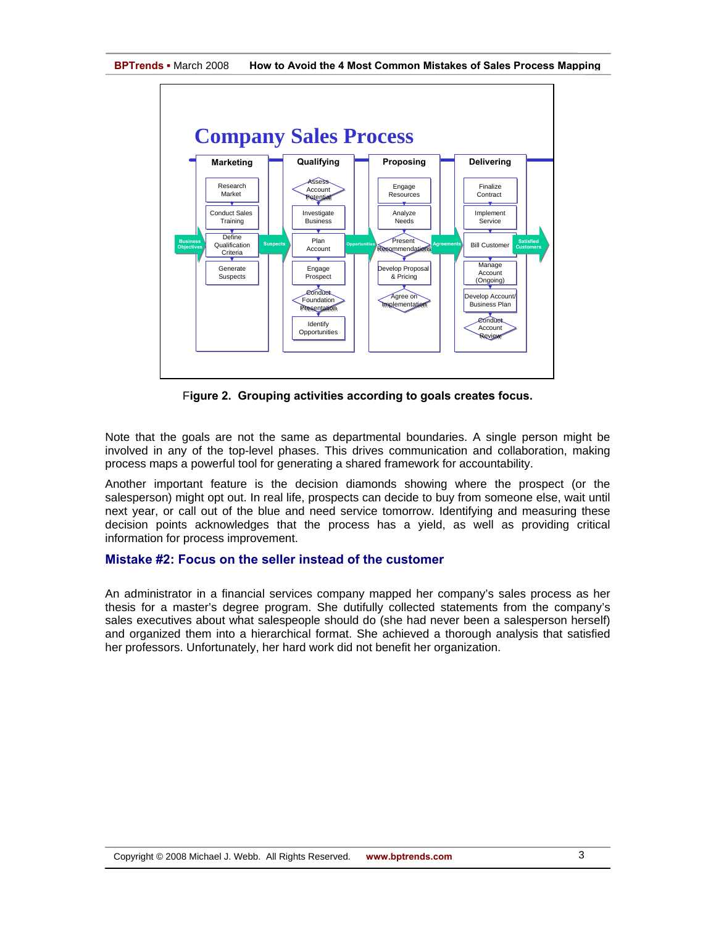

F**igure 2. Grouping activities according to goals creates focus.** 

Note that the goals are not the same as departmental boundaries. A single person might be involved in any of the top-level phases. This drives communication and collaboration, making process maps a powerful tool for generating a shared framework for accountability.

Another important feature is the decision diamonds showing where the prospect (or the salesperson) might opt out. In real life, prospects can decide to buy from someone else, wait until next year, or call out of the blue and need service tomorrow. Identifying and measuring these decision points acknowledges that the process has a yield, as well as providing critical information for process improvement.

#### **Mistake #2: Focus on the seller instead of the customer**

An administrator in a financial services company mapped her company's sales process as her thesis for a master's degree program. She dutifully collected statements from the company's sales executives about what salespeople should do (she had never been a salesperson herself) and organized them into a hierarchical format. She achieved a thorough analysis that satisfied her professors. Unfortunately, her hard work did not benefit her organization.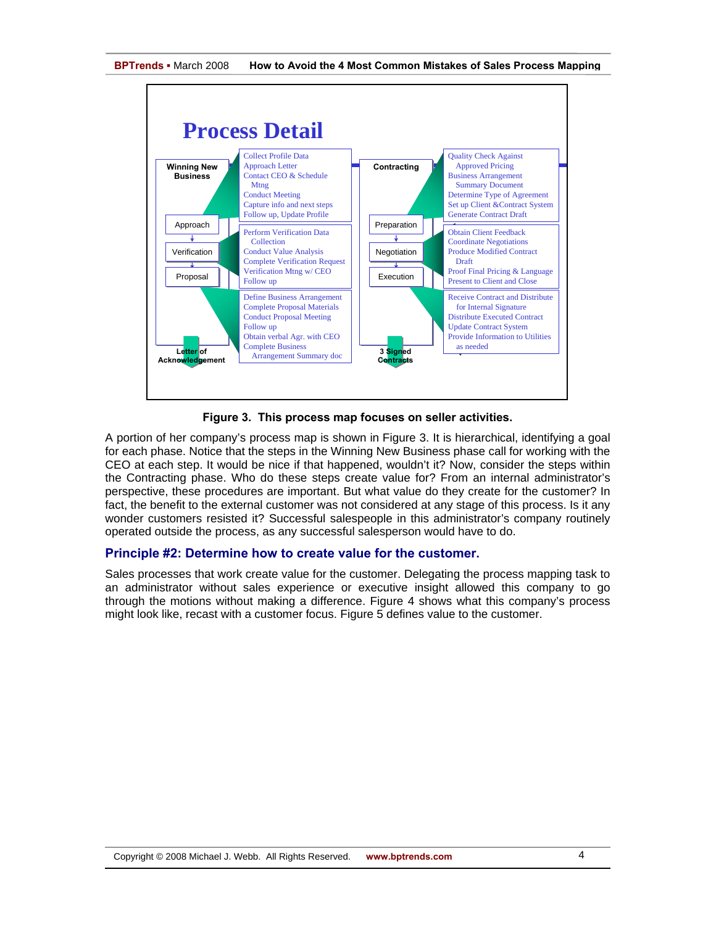



**Figure 3. This process map focuses on seller activities.** 

A portion of her company's process map is shown in Figure 3. It is hierarchical, identifying a goal for each phase. Notice that the steps in the Winning New Business phase call for working with the CEO at each step. It would be nice if that happened, wouldn't it? Now, consider the steps within the Contracting phase. Who do these steps create value for? From an internal administrator's perspective, these procedures are important. But what value do they create for the customer? In fact, the benefit to the external customer was not considered at any stage of this process. Is it any wonder customers resisted it? Successful salespeople in this administrator's company routinely operated outside the process, as any successful salesperson would have to do.

# **Principle #2: Determine how to create value for the customer.**

Sales processes that work create value for the customer. Delegating the process mapping task to an administrator without sales experience or executive insight allowed this company to go through the motions without making a difference. Figure 4 shows what this company's process might look like, recast with a customer focus. Figure 5 defines value to the customer.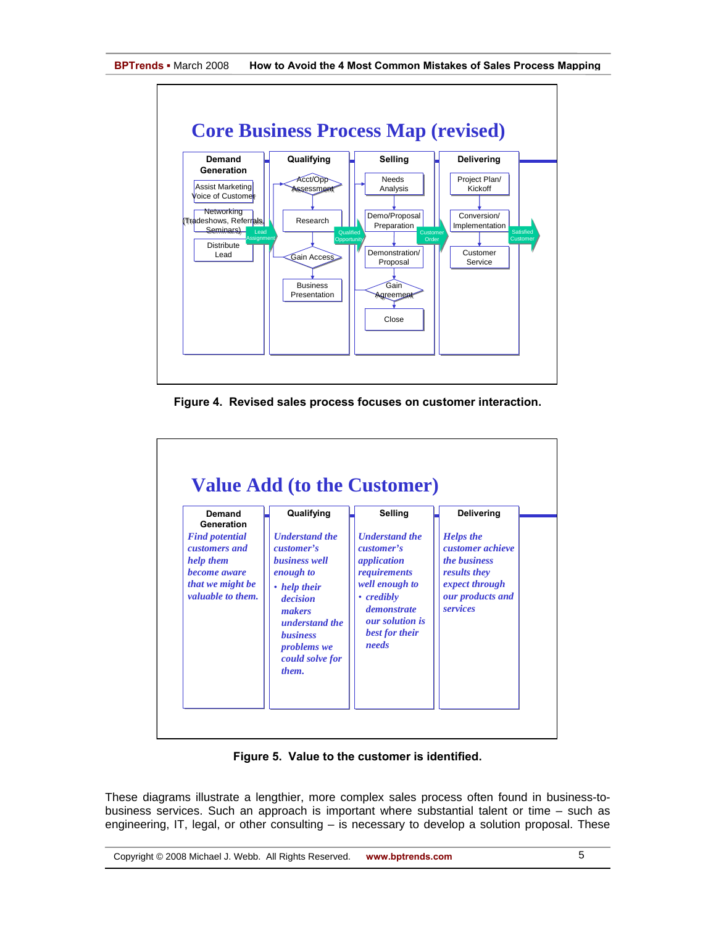

**Figure 4. Revised sales process focuses on customer interaction.** 

| Demand<br>Generation                                                                                                | Qualifying                                                                                                                                                                                                          | Selling                                                                                                                                                                                     | Delivering                                                                                                                    |
|---------------------------------------------------------------------------------------------------------------------|---------------------------------------------------------------------------------------------------------------------------------------------------------------------------------------------------------------------|---------------------------------------------------------------------------------------------------------------------------------------------------------------------------------------------|-------------------------------------------------------------------------------------------------------------------------------|
| <b>Find potential</b><br>customers and<br>help them<br>become aware<br>that we might be<br><i>valuable to them.</i> | <b><i><u>Understand</u></i></b> the<br>customer's<br><b>business</b> well<br>enough to<br>• help their<br>decision<br>makers<br>understand the<br><b>business</b><br><i>problems</i> we<br>could solve for<br>them. | <b><i><u>Understand</u></i></b> the<br>customer's<br>application<br>requirements<br>well enough to<br>• credibly<br><i>demonstrate</i><br><i>our solution is</i><br>best for their<br>needs | <b>Helps</b> the<br>customer achieve<br><i>the business</i><br>results they<br>expect through<br>our products and<br>services |

**Figure 5. Value to the customer is identified.** 

These diagrams illustrate a lengthier, more complex sales process often found in business-tobusiness services. Such an approach is important where substantial talent or time – such as engineering, IT, legal, or other consulting – is necessary to develop a solution proposal. These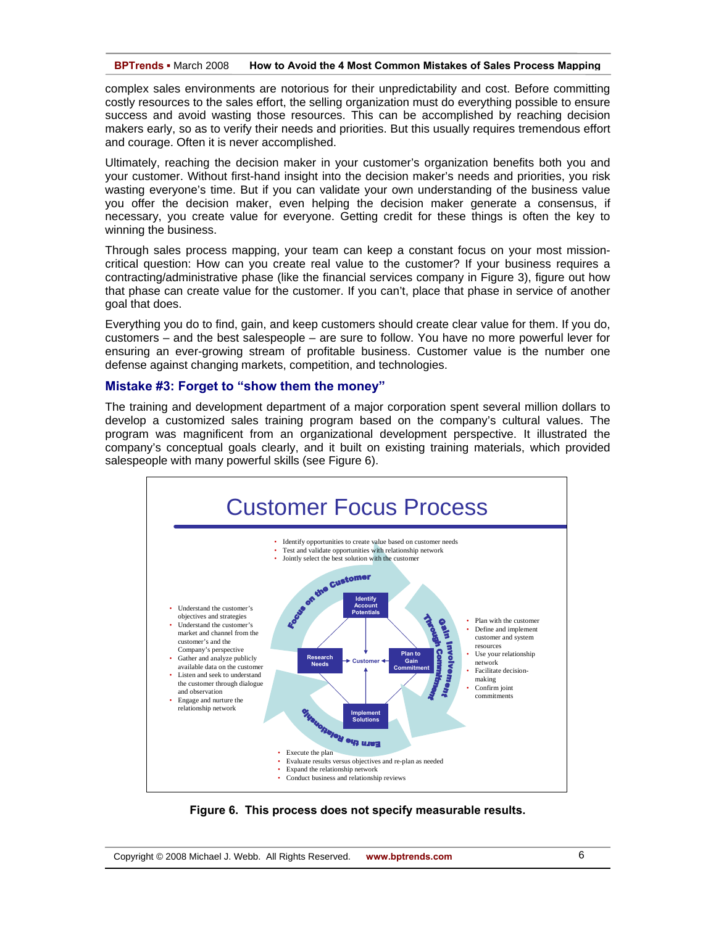**BPTrends ▪** March 2008 **How to Avoid the 4 Most Common Mistakes of Sales Process Mapping**

complex sales environments are notorious for their unpredictability and cost. Before committing costly resources to the sales effort, the selling organization must do everything possible to ensure success and avoid wasting those resources. This can be accomplished by reaching decision makers early, so as to verify their needs and priorities. But this usually requires tremendous effort and courage. Often it is never accomplished.

Ultimately, reaching the decision maker in your customer's organization benefits both you and your customer. Without first-hand insight into the decision maker's needs and priorities, you risk wasting everyone's time. But if you can validate your own understanding of the business value you offer the decision maker, even helping the decision maker generate a consensus, if necessary, you create value for everyone. Getting credit for these things is often the key to winning the business.

Through sales process mapping, your team can keep a constant focus on your most missioncritical question: How can you create real value to the customer? If your business requires a contracting/administrative phase (like the financial services company in Figure 3), figure out how that phase can create value for the customer. If you can't, place that phase in service of another goal that does.

Everything you do to find, gain, and keep customers should create clear value for them. If you do, customers – and the best salespeople – are sure to follow. You have no more powerful lever for ensuring an ever-growing stream of profitable business. Customer value is the number one defense against changing markets, competition, and technologies.

## **Mistake #3: Forget to "show them the money"**

The training and development department of a major corporation spent several million dollars to develop a customized sales training program based on the company's cultural values. The program was magnificent from an organizational development perspective. It illustrated the company's conceptual goals clearly, and it built on existing training materials, which provided salespeople with many powerful skills (see Figure 6).



**Figure 6. This process does not specify measurable results.**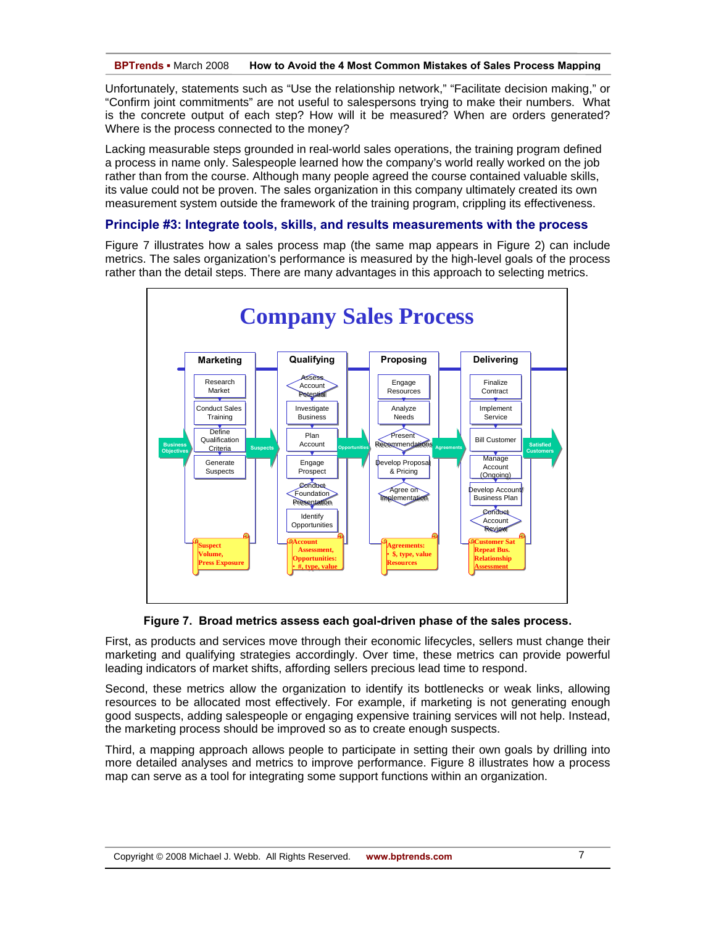Unfortunately, statements such as "Use the relationship network," "Facilitate decision making," or "Confirm joint commitments" are not useful to salespersons trying to make their numbers. What is the concrete output of each step? How will it be measured? When are orders generated? Where is the process connected to the money?

Lacking measurable steps grounded in real-world sales operations, the training program defined a process in name only. Salespeople learned how the company's world really worked on the job rather than from the course. Although many people agreed the course contained valuable skills, its value could not be proven. The sales organization in this company ultimately created its own measurement system outside the framework of the training program, crippling its effectiveness.

## **Principle #3: Integrate tools, skills, and results measurements with the process**

Figure 7 illustrates how a sales process map (the same map appears in Figure 2) can include metrics. The sales organization's performance is measured by the high-level goals of the process rather than the detail steps. There are many advantages in this approach to selecting metrics.



**Figure 7. Broad metrics assess each goal-driven phase of the sales process.** 

First, as products and services move through their economic lifecycles, sellers must change their marketing and qualifying strategies accordingly. Over time, these metrics can provide powerful leading indicators of market shifts, affording sellers precious lead time to respond.

Second, these metrics allow the organization to identify its bottlenecks or weak links, allowing resources to be allocated most effectively. For example, if marketing is not generating enough good suspects, adding salespeople or engaging expensive training services will not help. Instead, the marketing process should be improved so as to create enough suspects.

Third, a mapping approach allows people to participate in setting their own goals by drilling into more detailed analyses and metrics to improve performance. Figure 8 illustrates how a process map can serve as a tool for integrating some support functions within an organization.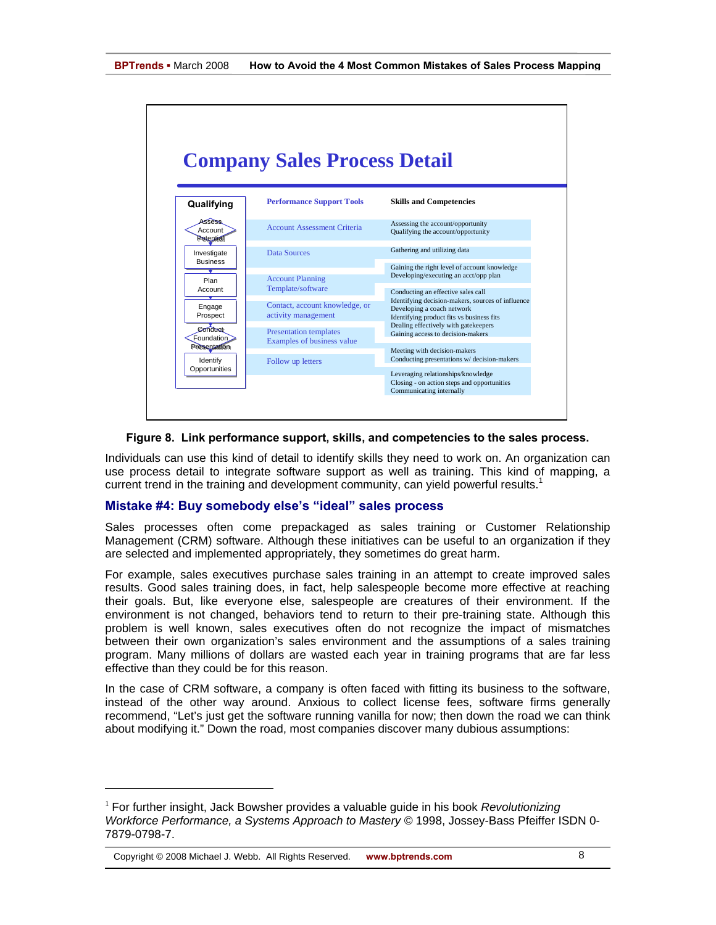

## **Figure 8. Link performance support, skills, and competencies to the sales process.**

Individuals can use this kind of detail to identify skills they need to work on. An organization can use process detail to integrate software support as well as training. This kind of mapping, a current trend in the training and development community, can yield powerful results.<sup>1</sup>

# **Mistake #4: Buy somebody else's "ideal" sales process**

Sales processes often come prepackaged as sales training or Customer Relationship Management (CRM) software. Although these initiatives can be useful to an organization if they are selected and implemented appropriately, they sometimes do great harm.

For example, sales executives purchase sales training in an attempt to create improved sales results. Good sales training does, in fact, help salespeople become more effective at reaching their goals. But, like everyone else, salespeople are creatures of their environment. If the environment is not changed, behaviors tend to return to their pre-training state. Although this problem is well known, sales executives often do not recognize the impact of mismatches between their own organization's sales environment and the assumptions of a sales training program. Many millions of dollars are wasted each year in training programs that are far less effective than they could be for this reason.

In the case of CRM software, a company is often faced with fitting its business to the software, instead of the other way around. Anxious to collect license fees, software firms generally recommend, "Let's just get the software running vanilla for now; then down the road we can think about modifying it." Down the road, most companies discover many dubious assumptions:

Copyright © 2008 Michael J. Webb. All Rights Reserved. **www.bptrends.com**

-

<sup>1</sup> For further insight, Jack Bowsher provides a valuable guide in his book *Revolutionizing Workforce Performance, a Systems Approach to Mastery* © 1998, Jossey-Bass Pfeiffer ISDN 0- 7879-0798-7.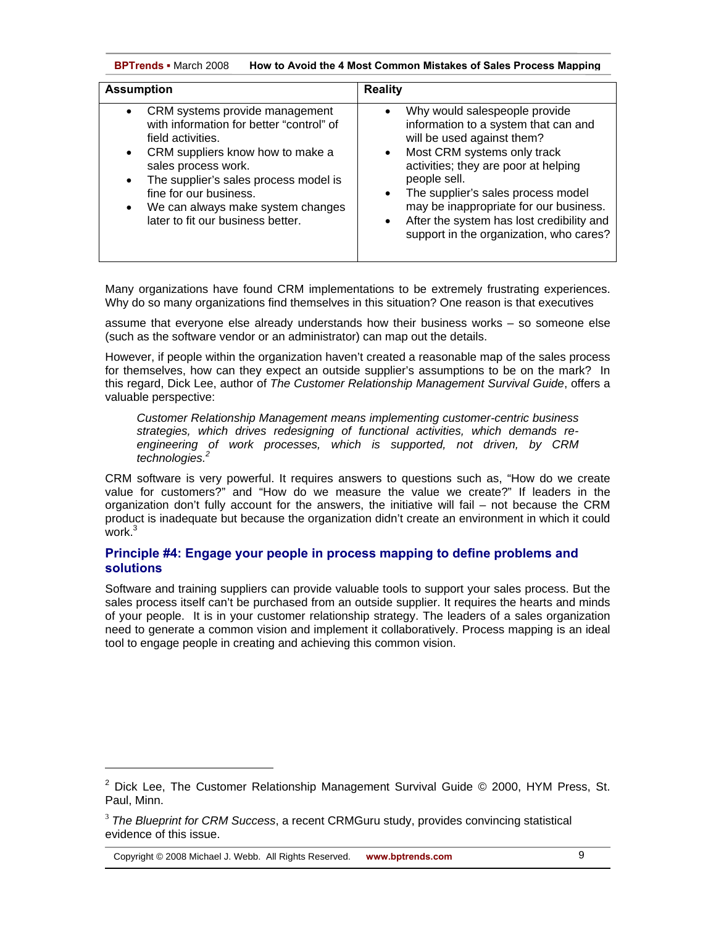**BPTrends ▪** March 2008 **How to Avoid the 4 Most Common Mistakes of Sales Process Mapping**

| <b>Assumption</b>                                                                                                                                                                                                                                                                                       | <b>Reality</b>                                                                                                                                                                                                                                                                                                                                                                                                         |  |
|---------------------------------------------------------------------------------------------------------------------------------------------------------------------------------------------------------------------------------------------------------------------------------------------------------|------------------------------------------------------------------------------------------------------------------------------------------------------------------------------------------------------------------------------------------------------------------------------------------------------------------------------------------------------------------------------------------------------------------------|--|
| CRM systems provide management<br>with information for better "control" of<br>field activities.<br>CRM suppliers know how to make a<br>sales process work.<br>The supplier's sales process model is<br>fine for our business.<br>We can always make system changes<br>later to fit our business better. | Why would salespeople provide<br>$\bullet$<br>information to a system that can and<br>will be used against them?<br>Most CRM systems only track<br>$\bullet$<br>activities; they are poor at helping<br>people sell.<br>The supplier's sales process model<br>$\bullet$<br>may be inappropriate for our business.<br>After the system has lost credibility and<br>$\bullet$<br>support in the organization, who cares? |  |

Many organizations have found CRM implementations to be extremely frustrating experiences. Why do so many organizations find themselves in this situation? One reason is that executives

assume that everyone else already understands how their business works – so someone else (such as the software vendor or an administrator) can map out the details.

However, if people within the organization haven't created a reasonable map of the sales process for themselves, how can they expect an outside supplier's assumptions to be on the mark? In this regard, Dick Lee, author of *The Customer Relationship Management Survival Guide*, offers a valuable perspective:

*Customer Relationship Management means implementing customer-centric business strategies, which drives redesigning of functional activities, which demands reengineering of work processes, which is supported, not driven, by CRM technologies.2*

CRM software is very powerful. It requires answers to questions such as, "How do we create value for customers?" and "How do we measure the value we create?" If leaders in the organization don't fully account for the answers, the initiative will fail – not because the CRM product is inadequate but because the organization didn't create an environment in which it could .<br>work.<sup>3</sup>

# **Principle #4: Engage your people in process mapping to define problems and solutions**

Software and training suppliers can provide valuable tools to support your sales process. But the sales process itself can't be purchased from an outside supplier. It requires the hearts and minds of your people. It is in your customer relationship strategy. The leaders of a sales organization need to generate a common vision and implement it collaboratively. Process mapping is an ideal tool to engage people in creating and achieving this common vision.

Copyright © 2008 Michael J. Webb. All Rights Reserved. **www.bptrends.com**

l

<sup>&</sup>lt;sup>2</sup> Dick Lee, The Customer Relationship Management Survival Guide © 2000, HYM Press, St. Paul, Minn.

<sup>3</sup> *The Blueprint for CRM Success*, a recent CRMGuru study, provides convincing statistical evidence of this issue.